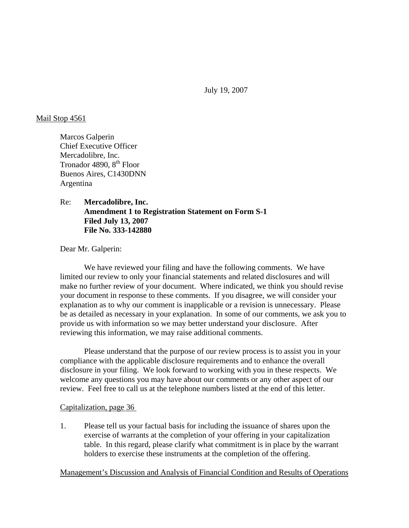July 19, 2007

## Mail Stop 4561

Marcos Galperin Chief Executive Officer Mercadolibre, Inc. Tronador 4890, 8<sup>th</sup> Floor Buenos Aires, C1430DNN Argentina

Re: **Mercadolibre, Inc. Amendment 1 to Registration Statement on Form S-1 Filed July 13, 2007 File No. 333-142880** 

Dear Mr. Galperin:

 We have reviewed your filing and have the following comments. We have limited our review to only your financial statements and related disclosures and will make no further review of your document. Where indicated, we think you should revise your document in response to these comments. If you disagree, we will consider your explanation as to why our comment is inapplicable or a revision is unnecessary. Please be as detailed as necessary in your explanation. In some of our comments, we ask you to provide us with information so we may better understand your disclosure. After reviewing this information, we may raise additional comments.

 Please understand that the purpose of our review process is to assist you in your compliance with the applicable disclosure requirements and to enhance the overall disclosure in your filing. We look forward to working with you in these respects. We welcome any questions you may have about our comments or any other aspect of our review. Feel free to call us at the telephone numbers listed at the end of this letter.

## Capitalization, page 36

1. Please tell us your factual basis for including the issuance of shares upon the exercise of warrants at the completion of your offering in your capitalization table. In this regard, please clarify what commitment is in place by the warrant holders to exercise these instruments at the completion of the offering.

## Management's Discussion and Analysis of Financial Condition and Results of Operations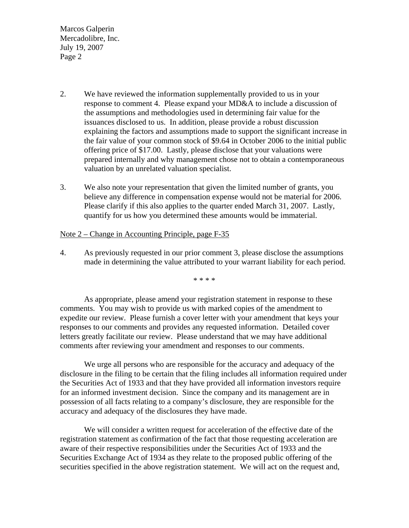Marcos Galperin Mercadolibre, Inc. July 19, 2007 Page 2

- 2. We have reviewed the information supplementally provided to us in your response to comment 4. Please expand your MD&A to include a discussion of the assumptions and methodologies used in determining fair value for the issuances disclosed to us. In addition, please provide a robust discussion explaining the factors and assumptions made to support the significant increase in the fair value of your common stock of \$9.64 in October 2006 to the initial public offering price of \$17.00. Lastly, please disclose that your valuations were prepared internally and why management chose not to obtain a contemporaneous valuation by an unrelated valuation specialist.
- 3. We also note your representation that given the limited number of grants, you believe any difference in compensation expense would not be material for 2006. Please clarify if this also applies to the quarter ended March 31, 2007. Lastly, quantify for us how you determined these amounts would be immaterial.

## Note 2 – Change in Accounting Principle, page F-35

4. As previously requested in our prior comment 3, please disclose the assumptions made in determining the value attributed to your warrant liability for each period.

\* \* \* \*

As appropriate, please amend your registration statement in response to these comments. You may wish to provide us with marked copies of the amendment to expedite our review. Please furnish a cover letter with your amendment that keys your responses to our comments and provides any requested information. Detailed cover letters greatly facilitate our review. Please understand that we may have additional comments after reviewing your amendment and responses to our comments.

We urge all persons who are responsible for the accuracy and adequacy of the disclosure in the filing to be certain that the filing includes all information required under the Securities Act of 1933 and that they have provided all information investors require for an informed investment decision. Since the company and its management are in possession of all facts relating to a company's disclosure, they are responsible for the accuracy and adequacy of the disclosures they have made.

We will consider a written request for acceleration of the effective date of the registration statement as confirmation of the fact that those requesting acceleration are aware of their respective responsibilities under the Securities Act of 1933 and the Securities Exchange Act of 1934 as they relate to the proposed public offering of the securities specified in the above registration statement. We will act on the request and,